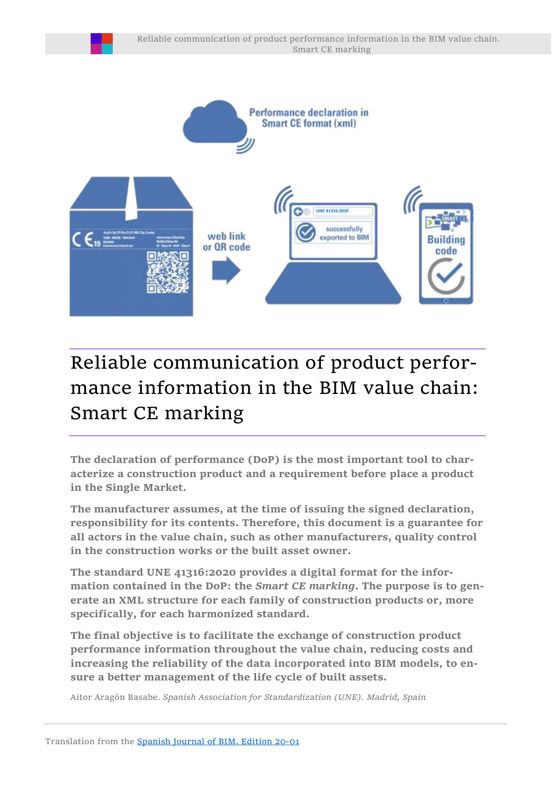

# Reliable communication of product performance information in the BIM value chain: Smart CE marking

**The declaration of performance (DoP) is the most important tool to characterize a construction product and a requirement before place a product in the Single Market.** 

**The manufacturer assumes, at the time of issuing the signed declaration, responsibility for its contents. Therefore, this document is a guarantee for all actors in the value chain, such as other manufacturers, quality control in the construction works or the built asset owner.**

**The standard UNE 41316:2020 provides a digital format for the information contained in the DoP: the** *Smart CE marking***. The purpose is to generate an XML structure for each family of construction products or, more specifically, for each harmonized standard.**

**The final objective is to facilitate the exchange of construction product performance information throughout the value chain, reducing costs and increasing the reliability of the data incorporated into BIM models, to ensure a better management of the life cycle of built assets.**

Aitor Aragón Basabe. *Spanish Association for Standardization (UNE). Madrid, Spain*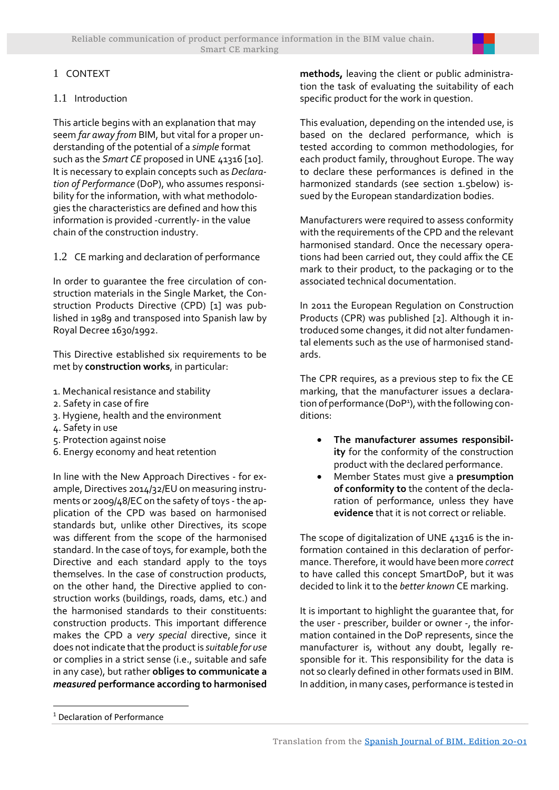# 1 CONTEXT

## 1.1 Introduction

This article begins with an explanation that may seem *far away from* BIM, but vital for a proper understanding of the potential of a *simple* format such as the *Smart CE* proposed in UNE 41316 [10]. It is necessary to explain concepts such as *Declaration of Performance* (DoP), who assumes responsibility for the information, with what methodologies the characteristics are defined and how this information is provided -currently- in the value chain of the construction industry.

1.2 CE marking and declaration of performance

In order to guarantee the free circulation of construction materials in the Single Market, the Construction Products Directive (CPD) [1] was published in 1989 and transposed into Spanish law by Royal Decree 1630/1992.

This Directive established six requirements to be met by **construction works**, in particular:

- 1. Mechanical resistance and stability
- 2. Safety in case of fire
- 3. Hygiene, health and the environment
- 4. Safety in use
- 5. Protection against noise
- 6. Energy economy and heat retention

In line with the New Approach Directives - for example, Directives 2014/32/EU on measuring instruments or 2009/48/EC on the safety of toys - the application of the CPD was based on harmonised standards but, unlike other Directives, its scope was different from the scope of the harmonised standard. In the case of toys, for example, both the Directive and each standard apply to the toys themselves. In the case of construction products, on the other hand, the Directive applied to construction works (buildings, roads, dams, etc.) and the harmonised standards to their constituents: construction products. This important difference makes the CPD a *very special* directive, since it does not indicate that the product is *suitable for use*  or complies in a strict sense (i.e., suitable and safe in any case), but rather **obliges to communicate a** *measured* **performance according to harmonised**  **methods,** leaving the client or public administration the task of evaluating the suitability of each specific product for the work in question.

This evaluation, depending on the intended use, is based on the declared performance, which is tested according to common methodologies, for each product family, throughout Europe. The way to declare these performances is defined in the harmonized standards (see section [1.5b](#page-2-0)elow) issued by the European standardization bodies.

Manufacturers were required to assess conformity with the requirements of the CPD and the relevant harmonised standard. Once the necessary operations had been carried out, they could affix the CE mark to their product, to the packaging or to the associated technical documentation.

In 2011 the European Regulation on Construction Products (CPR) was published [2]. Although it introduced some changes, it did not alter fundamental elements such as the use of harmonised standards.

The CPR requires, as a previous step to fix the CE marking, that the manufacturer issues a declaration of performance (DoP<sup>1</sup>), with the following conditions:

- **The manufacturer assumes responsibility** for the conformity of the construction product with the declared performance.
- Member States must give a **presumption of conformity to** the content of the declaration of performance, unless they have **evidence** that it is not correct or reliable.

The scope of digitalization of UNE 41316 is the information contained in this declaration of performance. Therefore, it would have been more *correct* to have called this concept SmartDoP, but it was decided to link it to the *better known* CE marking.

It is important to highlight the guarantee that, for the user - prescriber, builder or owner -, the information contained in the DoP represents, since the manufacturer is, without any doubt, legally responsible for it. This responsibility for the data is not so clearly defined in other formats used in BIM. In addition, in many cases, performance is tested in

<sup>1</sup> Declaration of Performance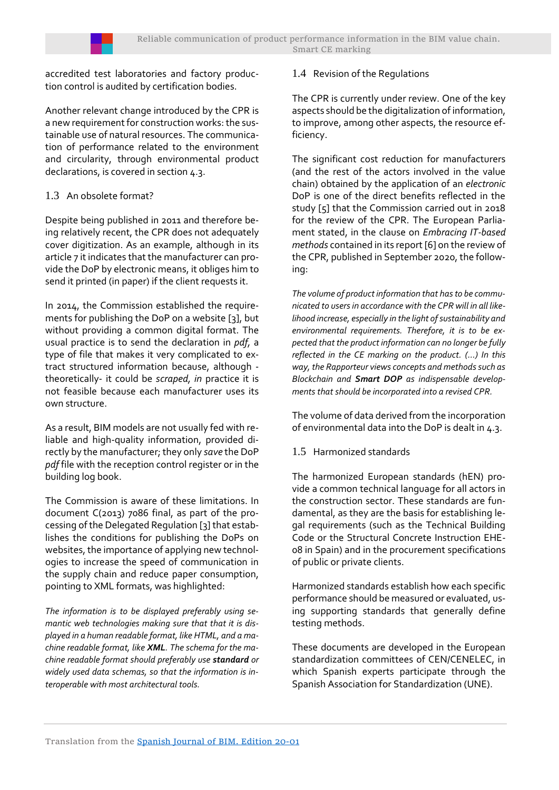accredited test laboratories and factory production control is audited by certification bodies.

Another relevant change introduced by the CPR is a new requirement for construction works: the sustainable use of natural resources. The communication of performance related to the environment and circularity, through environmental product declarations, is covered in sectio[n 4.3.](#page-7-0)

# 1.3 An obsolete format?

Despite being published in 2011 and therefore being relatively recent, the CPR does not adequately cover digitization. As an example, although in its article 7 it indicates that the manufacturer can provide the DoP by electronic means, it obliges him to send it printed (in paper) if the client requests it.

In 2014, the Commission established the requirements for publishing the DoP on a website [3], but without providing a common digital format. The usual practice is to send the declaration in *pdf,* a type of file that makes it very complicated to extract structured information because, although theoretically- it could be *scraped, in* practice it is not feasible because each manufacturer uses its own structure.

As a result, BIM models are not usually fed with reliable and high-quality information, provided directly by the manufacturer; they only *save* the DoP *pdf* file with the reception control register or in the building log book.

The Commission is aware of these limitations. In document C(2013) 7086 final, as part of the processing of the Delegated Regulation [3] that establishes the conditions for publishing the DoPs on websites, the importance of applying new technologies to increase the speed of communication in the supply chain and reduce paper consumption, pointing to XML formats, was highlighted:

*The information is to be displayed preferably using semantic web technologies making sure that that it is displayed in a human readable format, like HTML, and a machine readable format, like XML. The schema for the machine readable format should preferably use standard or widely used data schemas, so that the information is interoperable with most architectural tools.* 

# 1.4 Revision of the Regulations

The CPR is currently under review. One of the key aspects should be the digitalization of information, to improve, among other aspects, the resource efficiency.

The significant cost reduction for manufacturers (and the rest of the actors involved in the value chain) obtained by the application of an *electronic*  DoP is one of the direct benefits reflected in the study [5] that the Commission carried out in 2018 for the review of the CPR. The European Parliament stated, in the clause on *Embracing IT-based methods* contained in its report [6] on the review of the CPR, published in September 2020, the following:

*The volume of product information that has to be communicated to users in accordance with the CPR will in all likelihood increase, especially in the light of sustainability and environmental requirements. Therefore, it is to be expected that the product information can no longer be fully reflected in the CE marking on the product. (…) In this way, the Rapporteur views concepts and methods such as Blockchain and Smart DOP as indispensable developments that should be incorporated into a revised CPR.*

The volume of data derived from the incorporation of environmental data into the DoP is dealt i[n 4.3.](#page-7-0)

# <span id="page-2-0"></span>1.5 Harmonized standards

The harmonized European standards (hEN) provide a common technical language for all actors in the construction sector. These standards are fundamental, as they are the basis for establishing legal requirements (such as the Technical Building Code or the Structural Concrete Instruction EHE-08 in Spain) and in the procurement specifications of public or private clients.

Harmonized standards establish how each specific performance should be measured or evaluated, using supporting standards that generally define testing methods.

These documents are developed in the European standardization committees of CEN/CENELEC, in which Spanish experts participate through the Spanish Association for Standardization (UNE).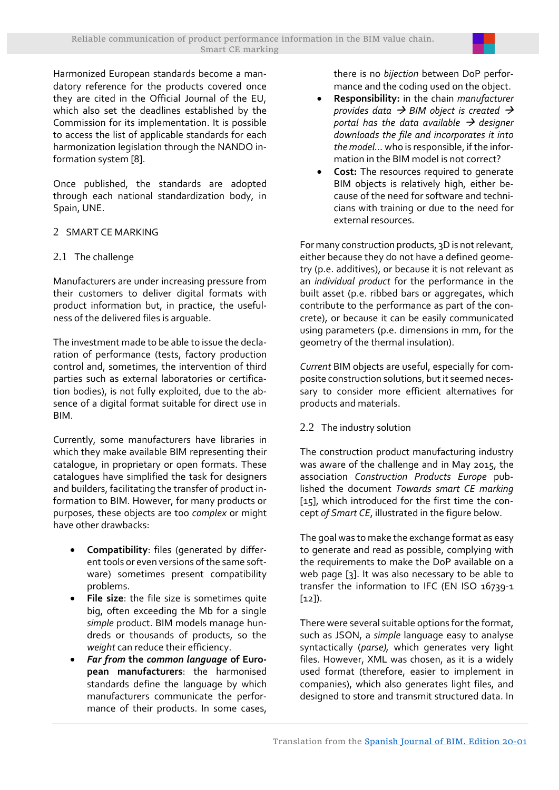Harmonized European standards become a mandatory reference for the products covered once they are cited in the Official Journal of the EU, which also set the deadlines established by the Commission for its implementation. It is possible to access the list of applicable standards for each harmonization legislation through the NANDO information system [8].

Once published, the standards are adopted through each national standardization body, in Spain, UNE.

# 2 SMART CE MARKING

# 2.1 The challenge

Manufacturers are under increasing pressure from their customers to deliver digital formats with product information but, in practice, the usefulness of the delivered files is arguable.

The investment made to be able to issue the declaration of performance (tests, factory production control and, sometimes, the intervention of third parties such as external laboratories or certification bodies), is not fully exploited, due to the absence of a digital format suitable for direct use in BIM.

Currently, some manufacturers have libraries in which they make available BIM representing their catalogue, in proprietary or open formats. These catalogues have simplified the task for designers and builders, facilitating the transfer of product information to BIM. However, for many products or purposes, these objects are too *complex* or might have other drawbacks:

- **Compatibility**: files (generated by different tools or even versions of the same software) sometimes present compatibility problems.
- **File size**: the file size is sometimes quite big, often exceeding the Mb for a single *simple* product. BIM models manage hundreds or thousands of products, so the *weight* can reduce their efficiency.
- *Far from* **the** *common language* **of European manufacturers**: the harmonised standards define the language by which manufacturers communicate the performance of their products. In some cases,

there is no *bijection* between DoP performance and the coding used on the object.

- **Responsibility:** in the chain *manufacturer provides data* → *BIM object is created* → *portal has the data available* → *designer downloads the file and incorporates it into the model…* who is responsible, if the information in the BIM model is not correct?
- **Cost:** The resources required to generate BIM objects is relatively high, either because of the need for software and technicians with training or due to the need for external resources.

For many construction products, 3D is not relevant, either because they do not have a defined geometry (p.e. additives), or because it is not relevant as an *individual product* for the performance in the built asset (p.e. ribbed bars or aggregates, which contribute to the performance as part of the concrete), or because it can be easily communicated using parameters (p.e. dimensions in mm, for the geometry of the thermal insulation).

*Current* BIM objects are useful, especially for composite construction solutions, but it seemed necessary to consider more efficient alternatives for products and materials.

# 2.2 The industry solution

The construction product manufacturing industry was aware of the challenge and in May 2015, the association *Construction Products Europe* published the document *Towards smart CE marking*  [15], which introduced for the first time the concept *of Smart CE*, illustrated in the figure below.

The goal was to make the exchange format as easy to generate and read as possible, complying with the requirements to make the DoP available on a web page [3]. It was also necessary to be able to transfer the information to IFC (EN ISO 16739-1 [12]).

There were several suitable options for the format, such as JSON, a *simple* language easy to analyse syntactically (*parse),* which generates very light files. However, XML was chosen, as it is a widely used format (therefore, easier to implement in companies), which also generates light files, and designed to store and transmit structured data. In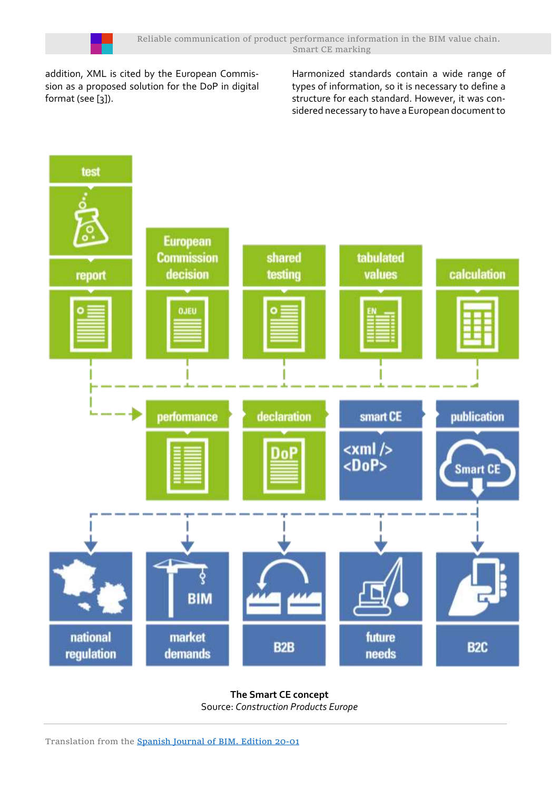

addition, XML is cited by the European Commission as a proposed solution for the DoP in digital format (see [3]).

Harmonized standards contain a wide range of types of information, so it is necessary to define a structure for each standard. However, it was considered necessary to have a European document to



**The Smart CE concept**  Source: *Construction Products Europe*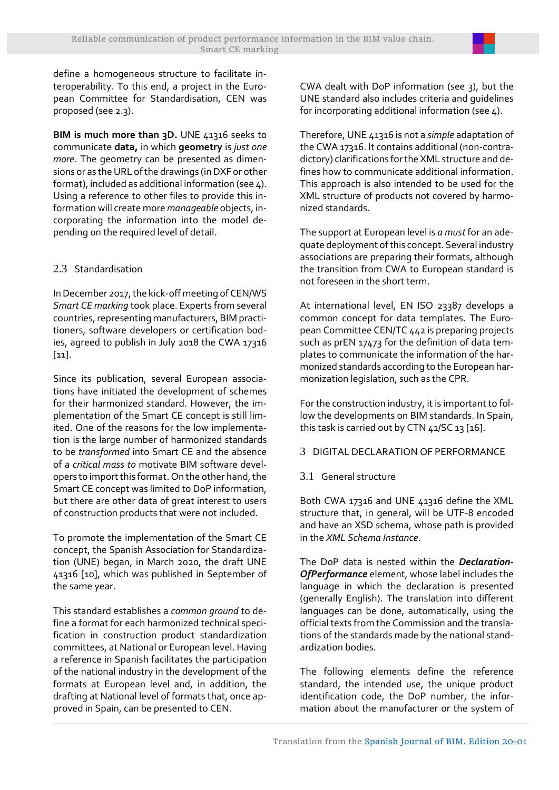define a homogeneous structure to facilitate interoperability. To this end, a project in the European Committee for Standardisation, CEN was proposed (se[e 2.3\)](#page-5-0).

**BIM** is much more than 3D. UNE 41316 seeks to communicate **data,** in which **geometry** is *just one more*. The geometry can be presented as dimensions or as the URL of the drawings (in DXF or other format), included as additional information (se[e 4\)](#page-6-0). Using a reference to other files to provide this information will create more*manageable* objects, incorporating the information into the model depending on the required level of detail.

# <span id="page-5-0"></span>2.3 Standardisation

In December 2017, the kick-off meeting of CEN/WS *Smart CE marking* took place. Experts from several countries, representing manufacturers, BIM practitioners, software developers or certification bodies, agreed to publish in July 2018 the CWA 17316 [11].

Since its publication, several European associations have initiated the development of schemes for their harmonized standard. However, the implementation of the Smart CE concept is still limited. One of the reasons for the low implementation is the large number of harmonized standards to be *transformed* into Smart CE and the absence of a *critical mass to* motivate BIM software developers to import this format. On the other hand, the Smart CE concept was limited to DoP information, but there are other data of great interest to users of construction products that were not included.

To promote the implementation of the Smart CE concept, the Spanish Association for Standardization (UNE) began, in March 2020, the draft UNE 41316 [10], which was published in September of the same year.

This standard establishes a *common ground* to define a format for each harmonized technical specification in construction product standardization committees, at National or European level. Having a reference in Spanish facilitates the participation of the national industry in the development of the formats at European level and, in addition, the drafting at National level of formats that, once approved in Spain, can be presented to CEN.

CWA dealt with DoP information (see [3\)](#page-5-1), but the UNE standard also includes criteria and guidelines for incorporating additional information (se[e 4\)](#page-6-0).

Therefore, UNE 41316 is not a *simple* adaptation of the CWA 17316. It contains additional (non-contradictory) clarifications forthe XML structure and defines how to communicate additional information. This approach is also intended to be used for the XML structure of products not covered by harmonized standards.

The support at European level is *a must* for an adequate deployment of this concept. Several industry associations are preparing their formats, although the transition from CWA to European standard is not foreseen in the short term.

At international level, EN ISO 23387 develops a common concept for data templates. The European Committee CEN/TC 442 is preparing projects such as prEN 17473 for the definition of data templates to communicate the information of the harmonized standards according to the European harmonization legislation, such as the CPR.

For the construction industry, it is important to follow the developments on BIM standards. In Spain, this task is carried out by CTN 41/SC 13 [16].

#### <span id="page-5-1"></span>3 DIGITAL DECLARATION OF PERFORMANCE

# 3.1 General structure

Both CWA 17316 and UNE 41316 define the XML structure that, in general, will be UTF-8 encoded and have an XSD schema, whose path is provided in the *XML Schema Instance*.

The DoP data is nested within the *Declaration-OfPerformance* element, whose label includes the language in which the declaration is presented (generally English). The translation into different languages can be done, automatically, using the official texts from the Commission and the translations of the standards made by the national standardization bodies.

The following elements define the reference standard, the intended use, the unique product identification code, the DoP number, the information about the manufacturer or the system of

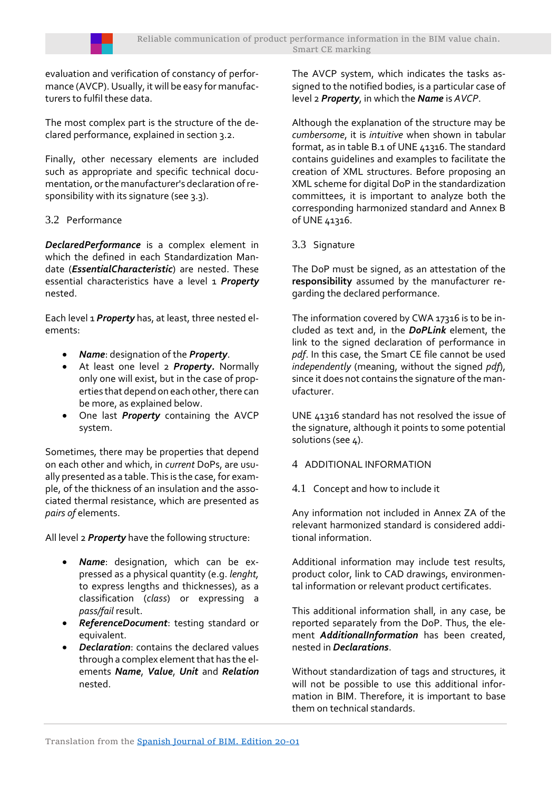evaluation and verification of constancy of performance (AVCP). Usually, it will be easy for manufacturers to fulfil these data.

The most complex part is the structure of the declared performance, explained in section 3.2.

Finally, other necessary elements are included such as appropriate and specific technical documentation, or the manufacturer's declaration of responsibility with its signature (see 3.3).

# 3.2 Performance

*DeclaredPerformance* is a complex element in which the defined in each Standardization Mandate (*EssentialCharacteristic*) are nested. These essential characteristics have a level 1 *Property*  nested.

Each level 1 *Property* has, at least, three nested elements:

- *Name*: designation of the *Property*.
- At least one level 2 *Property.* Normally only one will exist, but in the case of properties that depend on each other, there can be more, as explained below.
- One last *Property* containing the AVCP system.

Sometimes, there may be properties that depend on each other and which, in *current* DoPs, are usually presented as a table. This is the case, for example, of the thickness of an insulation and the associated thermal resistance, which are presented as *pairs of* elements.

All level 2 *Property* have the following structure:

- *Name*: designation, which can be expressed as a physical quantity (e.g. *lenght,*  to express lengths and thicknesses), as a classification (*class*) or expressing a *pass/fail* result.
- *ReferenceDocument*: testing standard or equivalent.
- *Declaration*: contains the declared values through a complex element that has the elements *Name*, *Value*, *Unit* and *Relation*  nested.

The AVCP system, which indicates the tasks assigned to the notified bodies, is a particular case of level 2 *Property*, in which the *Name* is *AVCP*.

Although the explanation of the structure may be *cumbersome*, it is *intuitive* when shown in tabular format, as in table B.1 of UNE 41316. The standard contains guidelines and examples to facilitate the creation of XML structures. Before proposing an XML scheme for digital DoP in the standardization committees, it is important to analyze both the corresponding harmonized standard and Annex B of UNE 41316.

3.3 Signature

The DoP must be signed, as an attestation of the **responsibility** assumed by the manufacturer regarding the declared performance.

The information covered by CWA 17316 is to be included as text and, in the *DoPLink* element, the link to the signed declaration of performance in *pdf*. In this case, the Smart CE file cannot be used *independently* (meaning, without the signed *pdf*), since it does not contains the signature of the manufacturer.

UNE 41316 standard has not resolved the issue of the signature, although it points to some potential solutions (see 4).

- <span id="page-6-0"></span>4 ADDITIONAL INFORMATION
- 4.1 Concept and how to include it

Any information not included in Annex ZA of the relevant harmonized standard is considered additional information.

Additional information may include test results, product color, link to CAD drawings, environmental information or relevant product certificates.

This additional information shall, in any case, be reported separately from the DoP. Thus, the element *AdditionalInformation* has been created, nested in *Declarations*.

Without standardization of tags and structures, it will not be possible to use this additional information in BIM. Therefore, it is important to base them on technical standards.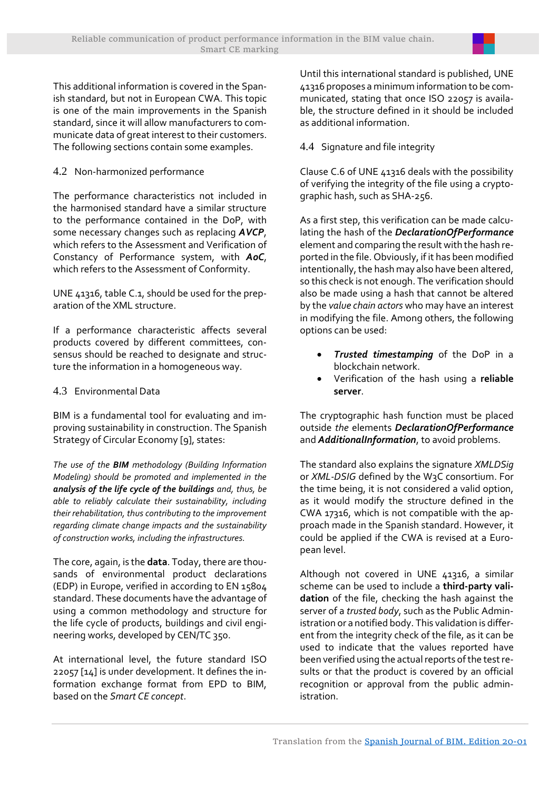

This additional information is covered in the Spanish standard, but not in European CWA. This topic is one of the main improvements in the Spanish standard, since it will allow manufacturers to communicate data of great interest to their customers. The following sections contain some examples.

# 4.2 Non-harmonized performance

The performance characteristics not included in the harmonised standard have a similar structure to the performance contained in the DoP, with some necessary changes such as replacing *AVCP*, which refers to the Assessment and Verification of Constancy of Performance system, with *AoC*, which refers to the Assessment of Conformity.

UNE 41316, table C.1, should be used for the preparation of the XML structure.

If a performance characteristic affects several products covered by different committees, consensus should be reached to designate and structure the information in a homogeneous way.

# <span id="page-7-0"></span>4.3 Environmental Data

BIM is a fundamental tool for evaluating and improving sustainability in construction. The Spanish Strategy of Circular Economy [9], states:

*The use of the BIM methodology (Building Information Modeling) should be promoted and implemented in the analysis of the life cycle of the buildings and, thus, be able to reliably calculate their sustainability, including their rehabilitation, thus contributing to the improvement regarding climate change impacts and the sustainability of construction works, including the infrastructures.*

The core, again, is the **data**. Today, there are thousands of environmental product declarations (EDP) in Europe, verified in according to EN 15804 standard. These documents have the advantage of using a common methodology and structure for the life cycle of products, buildings and civil engineering works, developed by CEN/TC 350.

At international level, the future standard ISO 22057 [14] is under development. It defines the information exchange format from EPD to BIM, based on the *Smart CE concept*.

Until this international standard is published, UNE 41316 proposes a minimum information to be communicated, stating that once ISO 22057 is available, the structure defined in it should be included as additional information.

4.4 Signature and file integrity

Clause C.6 of UNE 41316 deals with the possibility of verifying the integrity of the file using a cryptographic hash, such as SHA-256.

As a first step, this verification can be made calculating the hash of the *DeclarationOfPerformance*  element and comparing the result with the hash reported in the file. Obviously, if it has been modified intentionally, the hash may also have been altered, so this check is not enough. The verification should also be made using a hash that cannot be altered by the *value chain actors* who may have an interest in modifying the file. Among others, the following options can be used:

- *Trusted timestamping* of the DoP in a blockchain network.
- Verification of the hash using a **reliable server**.

The cryptographic hash function must be placed outside *the* elements *DeclarationOfPerformance*  and *AdditionalInformation*, to avoid problems.

The standard also explains the signature *XMLDSig*  or *XML-DSIG* defined by the W3C consortium. For the time being, it is not considered a valid option, as it would modify the structure defined in the CWA 17316, which is not compatible with the approach made in the Spanish standard. However, it could be applied if the CWA is revised at a European level.

Although not covered in UNE 41316, a similar scheme can be used to include a **third-party validation** of the file, checking the hash against the server of a *trusted body*, such as the Public Administration or a notified body. This validation is different from the integrity check of the file, as it can be used to indicate that the values reported have been verified using the actual reports of the test results or that the product is covered by an official recognition or approval from the public administration.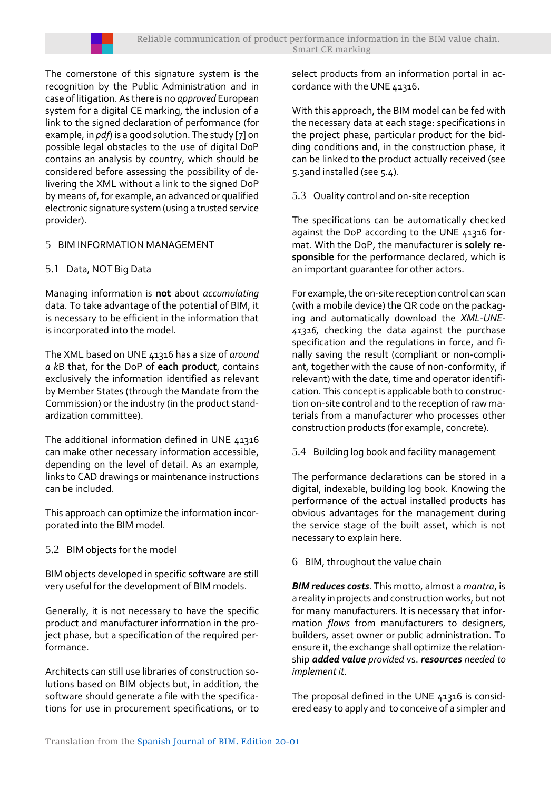

The cornerstone of this signature system is the recognition by the Public Administration and in case of litigation. As there is no *approved* European system for a digital CE marking, the inclusion of a link to the signed declaration of performance (for example, in *pdf*) is a good solution. The study [7] on possible legal obstacles to the use of digital DoP contains an analysis by country, which should be considered before assessing the possibility of delivering the XML without a link to the signed DoP by means of, for example, an advanced or qualified electronic signature system (using a trusted service provider).

# 5 BIM INFORMATION MANAGEMENT

# 5.1 Data, NOT Big Data

Managing information is **not** about *accumulating* data. To take advantage of the potential of BIM, it is necessary to be efficient in the information that is incorporated into the model.

The XML based on UNE 41316 has a size of *around a k*B that, for the DoP of **each product**, contains exclusively the information identified as relevant by Member States (through the Mandate from the Commission) or the industry (in the product standardization committee).

The additional information defined in UNE 41316 can make other necessary information accessible, depending on the level of detail. As an example, links to CAD drawings or maintenance instructions can be included.

This approach can optimize the information incorporated into the BIM model.

# 5.2 BIM objects for the model

BIM objects developed in specific software are still very useful for the development of BIM models.

Generally, it is not necessary to have the specific product and manufacturer information in the project phase, but a specification of the required performance.

Architects can still use libraries of construction solutions based on BIM objects but, in addition, the software should generate a file with the specifications for use in procurement specifications, or to select products from an information portal in accordance with the UNE 41316.

With this approach, the BIM model can be fed with the necessary data at each stage: specifications in the project phase, particular product for the bidding conditions and, in the construction phase, it can be linked to the product actually received (see [5.3a](#page-8-0)nd installed (see [5.4\)](#page-8-1).

<span id="page-8-0"></span>5.3 Quality control and on-site reception

The specifications can be automatically checked against the DoP according to the UNE 41316 format. With the DoP, the manufacturer is **solely responsible** for the performance declared, which is an important guarantee for other actors.

For example, the on-site reception control can scan (with a mobile device) the QR code on the packaging and automatically download the *XML-UNE-41316,* checking the data against the purchase specification and the regulations in force, and finally saving the result (compliant or non-compliant, together with the cause of non-conformity, if relevant) with the date, time and operator identification. This concept is applicable both to construction on-site control and to the reception of raw materials from a manufacturer who processes other construction products (for example, concrete).

<span id="page-8-1"></span>5.4 Building log book and facility management

The performance declarations can be stored in a digital, indexable, building log book. Knowing the performance of the actual installed products has obvious advantages for the management during the service stage of the built asset, which is not necessary to explain here.

6 BIM, throughout the value chain

*BIM reduces costs*. This motto, almost a *mantra*, is a reality in projects and construction works, but not for many manufacturers. It is necessary that information *flows* from manufacturers to designers, builders, asset owner or public administration. To ensure it, the exchange shall optimize the relationship *added value provided* vs. *resources needed to implement it*.

The proposal defined in the UNE 41316 is considered easy to apply and to conceive of a simpler and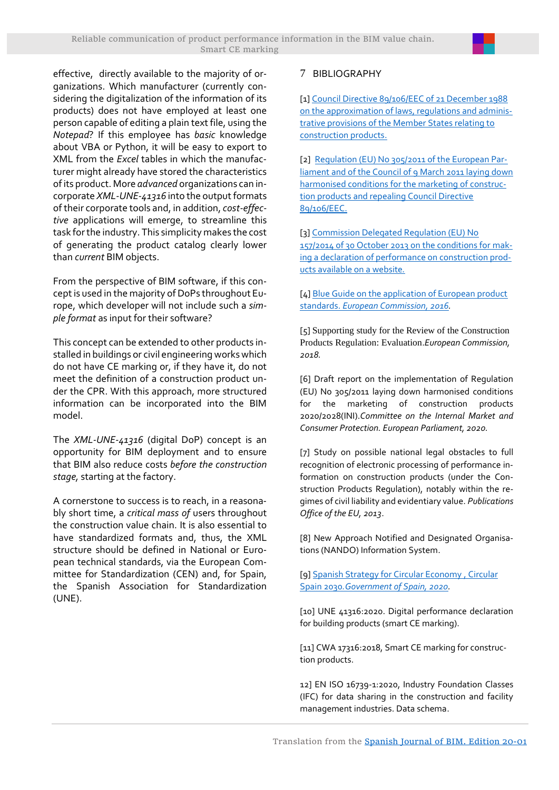

effective, directly available to the majority of organizations. Which manufacturer (currently considering the digitalization of the information of its products) does not have employed at least one person capable of editing a plain text file, using the *Notepad*? If this employee has *basic* knowledge about VBA or Python, it will be easy to export to XML from the *Excel* tables in which the manufacturer might already have stored the characteristics of its product. More *advanced* organizations can incorporate *XML-UNE-41316* into the output formats of their corporate tools and, in addition, *cost-effective* applications will emerge, to streamline this task for the industry. This simplicity makes the cost of generating the product catalog clearly lower than *current* BIM objects.

From the perspective of BIM software, if this concept is used in the majority of DoPs throughout Europe, which developer will not include such a *simple format* as input for their software?

This concept can be extended to other products installed in buildings or civil engineering works which do not have CE marking or, if they have it, do not meet the definition of a construction product under the CPR. With this approach, more structured information can be incorporated into the BIM model.

The *XML-UNE-41316* (digital DoP) concept is an opportunity for BIM deployment and to ensure that BIM also reduce costs *before the construction stage,* starting at the factory.

A cornerstone to success is to reach, in a reasonably short time, a *critical mass of* users throughout the construction value chain. It is also essential to have standardized formats and, thus, the XML structure should be defined in National or European technical standards, via the European Committee for Standardization (CEN) and, for Spain, the Spanish Association for Standardization (UNE).

## 7 BIBLIOGRAPHY

[1[\] Council Directive 89/106/EEC of 21 December 1988](https://eur-lex.europa.eu/legal-content/EN/TXT/?uri=CELEX:31989L0106)  [on the approximation of laws, regulations and adminis](https://eur-lex.europa.eu/legal-content/EN/TXT/?uri=CELEX:31989L0106)[trative provisions of the Member States relating to](https://eur-lex.europa.eu/legal-content/EN/TXT/?uri=CELEX:31989L0106)  [construction products.](https://eur-lex.europa.eu/legal-content/EN/TXT/?uri=CELEX:31989L0106)

[2] [Regulation \(EU\) No 305/2011 of the European Par](https://eur-lex.europa.eu/legal-content/EN/TXT/?uri=celex%3A32011R0305)[liament and of the Council of 9 March 2011 laying down](https://eur-lex.europa.eu/legal-content/EN/TXT/?uri=celex%3A32011R0305)  [harmonised conditions for the marketing of construc](https://eur-lex.europa.eu/legal-content/EN/TXT/?uri=celex%3A32011R0305)[tion products and repealing Council Directive](https://eur-lex.europa.eu/legal-content/EN/TXT/?uri=celex%3A32011R0305)  [89/106/EEC.](https://eur-lex.europa.eu/legal-content/EN/TXT/?uri=celex%3A32011R0305)

[3[\] Commission Delegated Regulation \(EU\) No](https://eur-lex.europa.eu/legal-content/EN/TXT/?uri=CELEX%3A32014R0157)  [157/2014 of 30 October 2013 on the conditions for mak](https://eur-lex.europa.eu/legal-content/EN/TXT/?uri=CELEX%3A32014R0157)[ing a declaration of performance on construction prod](https://eur-lex.europa.eu/legal-content/EN/TXT/?uri=CELEX%3A32014R0157)[ucts available on a website](https://eur-lex.europa.eu/legal-content/EN/TXT/?uri=CELEX%3A32014R0157)*.*

[4[\] Blue Guide on the application of European product](https://eur-lex.europa.eu/legal-content/EN/TXT/PDF/?uri=CELEX:52016XC0726(02)&from=BG)  standards. *[European Commission, 2016.](https://eur-lex.europa.eu/legal-content/EN/TXT/PDF/?uri=CELEX:52016XC0726(02)&from=BG)*

[5] Supporting [study for the Review of the Construction](https://op.europa.eu/en/publication-detail/-/publication/e0ead9bc-ed3f-11e8-b690-01aa75ed71a1)  [Products Regulation: Evaluation](https://op.europa.eu/en/publication-detail/-/publication/e0ead9bc-ed3f-11e8-b690-01aa75ed71a1).*European Commission, [2018.](https://op.europa.eu/en/publication-detail/-/publication/e0ead9bc-ed3f-11e8-b690-01aa75ed71a1)*

[6] [Draft report on the implementation of Regulation](https://www.europarl.europa.eu/doceo/document/IMCO-PR-655860_EN.pdf)  [\(EU\) No 305/2011 laying down harmonised conditions](https://www.europarl.europa.eu/doceo/document/IMCO-PR-655860_EN.pdf)  [for the marketing of construction products](https://www.europarl.europa.eu/doceo/document/IMCO-PR-655860_EN.pdf)  2020/2028(INI).*Committee on the [Internal Market and](https://www.europarl.europa.eu/doceo/document/IMCO-PR-655860_EN.pdf)  [Consumer Protection. European Parliament, 2020.](https://www.europarl.europa.eu/doceo/document/IMCO-PR-655860_EN.pdf)*

[7] [Study on possible national legal](https://op.europa.eu/en/publication-detail/-/publication/d5b4fc90-77eb-441a-b3ef-6d6e4d776d26/language-en/format-PDF/source-114610743) obstacles to full [recognition of electronic processing of performance in](https://op.europa.eu/en/publication-detail/-/publication/d5b4fc90-77eb-441a-b3ef-6d6e4d776d26/language-en/format-PDF/source-114610743)[formation on construction products \(under the Con](https://op.europa.eu/en/publication-detail/-/publication/d5b4fc90-77eb-441a-b3ef-6d6e4d776d26/language-en/format-PDF/source-114610743)[struction Products Regulation\), notably within the re](https://op.europa.eu/en/publication-detail/-/publication/d5b4fc90-77eb-441a-b3ef-6d6e4d776d26/language-en/format-PDF/source-114610743)[gimes of civil liability and evidentiary value.](https://op.europa.eu/en/publication-detail/-/publication/d5b4fc90-77eb-441a-b3ef-6d6e4d776d26/language-en/format-PDF/source-114610743) *Publications [Office of the EU, 2013](https://op.europa.eu/en/publication-detail/-/publication/d5b4fc90-77eb-441a-b3ef-6d6e4d776d26/language-en/format-PDF/source-114610743)*.

[8] [New Approach Notified and Designated Organisa](https://ec.europa.eu/growth/tools-databases/nando/)[tions \(NANDO\) Information System.](https://ec.europa.eu/growth/tools-databases/nando/)

[9[\] Spanish Strategy for Circular Economy , Circular](https://www.miteco.gob.es/es/calidad-y-evaluacion-ambiental/temas/economia-circular/espanacircular2030_def1_tcm30-509532.PDF) Spain 2030*[.Government of Spain, 2020.](https://www.miteco.gob.es/es/calidad-y-evaluacion-ambiental/temas/economia-circular/espanacircular2030_def1_tcm30-509532.PDF)*

[10] UNE [41316:2020. Digital performance declaration](https://www.une.org/encuentra-tu-norma/busca-tu-norma/norma/?c=N0064570)  [for building products \(smart CE marking\).](https://www.une.org/encuentra-tu-norma/busca-tu-norma/norma/?c=N0064570) 

[11] [CWA 17316:2018, Smart CE marking for construc](https://standards.cen.eu/dyn/www/f?p=204:110:0::::FSP_PROJECT,FSP_ORG_ID:67583,2390021&cs=17B814F2CAE9C5A54729D2C772C4956A9)[tion products.](https://standards.cen.eu/dyn/www/f?p=204:110:0::::FSP_PROJECT,FSP_ORG_ID:67583,2390021&cs=17B814F2CAE9C5A54729D2C772C4956A9)

12] EN ISO 16739-1:2020, Industry Foundation Classes (IFC) for data sharing in the construction and facility management industries. Data schema.